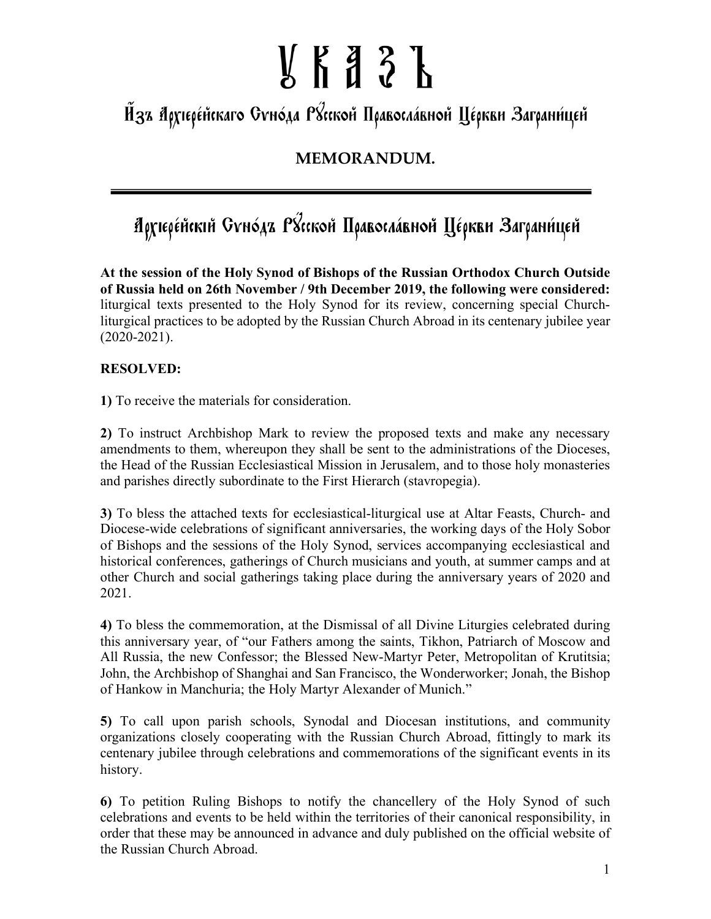# $\frac{1}{6}$   $\frac{1}{6}$   $\frac{3}{6}$   $\frac{1}{6}$   $\frac{1}{6}$

Йзъ Архіере́йскаго Суно́да Р&ской Правосла́вной Це́ркви Заграни́цей

### **MEMORANDUM.**

## Архіере́йскій Суно́дъ Р3сской Правосла́вной Це́ркви Заграни́цей

**At the session of the Holy Synod of Bishops of the Russian Orthodox Church Outside of Russia held on 26th November / 9th December 2019, the following were considered:** liturgical texts presented to the Holy Synod for its review, concerning special Churchliturgical practices to be adopted by the Russian Church Abroad in its centenary jubilee year  $(2020 - 2021)$ .

#### **RESOLVED:**

**1)** To receive the materials for consideration.

**2)** To instruct Archbishop Mark to review the proposed texts and make any necessary amendments to them, whereupon they shall be sent to the administrations of the Dioceses, the Head of the Russian Ecclesiastical Mission in Jerusalem, and to those holy monasteries and parishes directly subordinate to the First Hierarch (stavropegia).

**3)** To bless the attached texts for ecclesiastical-liturgical use at Altar Feasts, Church- and Diocese-wide celebrations of significant anniversaries, the working days of the Holy Sobor of Bishops and the sessions of the Holy Synod, services accompanying ecclesiastical and historical conferences, gatherings of Church musicians and youth, at summer camps and at other Church and social gatherings taking place during the anniversary years of 2020 and 2021.

**4)** To bless the commemoration, at the Dismissal of all Divine Liturgies celebrated during this anniversary year, of "our Fathers among the saints, Tikhon, Patriarch of Moscow and All Russia, the new Confessor; the Blessed New-Martyr Peter, Metropolitan of Krutitsia; John, the Archbishop of Shanghai and San Francisco, the Wonderworker; Jonah, the Bishop of Hankow in Manchuria; the Holy Martyr Alexander of Munich."

**5)** To call upon parish schools, Synodal and Diocesan institutions, and community organizations closely cooperating with the Russian Church Abroad, fittingly to mark its centenary jubilee through celebrations and commemorations of the significant events in its history.

**6)** To petition Ruling Bishops to notify the chancellery of the Holy Synod of such celebrations and events to be held within the territories of their canonical responsibility, in order that these may be announced in advance and duly published on the official website of the Russian Church Abroad.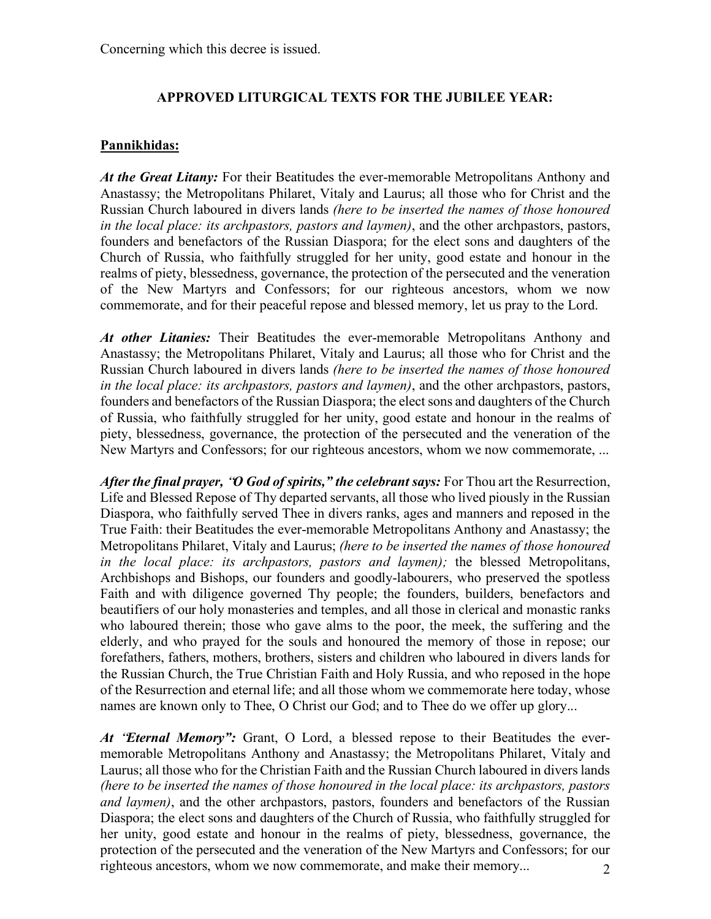#### **APPROVED LITURGICAL TEXTS FOR THE JUBILEE YEAR:**

#### **Pannikhidas:**

*At the Great Litany:* For their Beatitudes the ever-memorable Metropolitans Anthony and Anastassy; the Metropolitans Philaret, Vitaly and Laurus; all those who for Christ and the Russian Church laboured in divers lands *(here to be inserted the names of those honoured in the local place: its archpastors, pastors and laymen)*, and the other archpastors, pastors, founders and benefactors of the Russian Diaspora; for the elect sons and daughters of the Church of Russia, who faithfully struggled for her unity, good estate and honour in the realms of piety, blessedness, governance, the protection of the persecuted and the veneration of the New Martyrs and Confessors; for our righteous ancestors, whom we now commemorate, and for their peaceful repose and blessed memory, let us pray to the Lord.

*At other Litanies:* Their Beatitudes the ever-memorable Metropolitans Anthony and Anastassy; the Metropolitans Philaret, Vitaly and Laurus; all those who for Christ and the Russian Church laboured in divers lands *(here to be inserted the names of those honoured in the local place: its archpastors, pastors and laymen)*, and the other archpastors, pastors, founders and benefactors of the Russian Diaspora; the elect sons and daughters of the Church of Russia, who faithfully struggled for her unity, good estate and honour in the realms of piety, blessedness, governance, the protection of the persecuted and the veneration of the New Martyrs and Confessors; for our righteous ancestors, whom we now commemorate, ...

*After the final prayer,* "*O God of spirits," the celebrant says:* For Thou art the Resurrection, Life and Blessed Repose of Thy departed servants, all those who lived piously in the Russian Diaspora, who faithfully served Thee in divers ranks, ages and manners and reposed in the True Faith: their Beatitudes the ever-memorable Metropolitans Anthony and Anastassy; the Metropolitans Philaret, Vitaly and Laurus; *(here to be inserted the names of those honoured in the local place: its archpastors, pastors and laymen);* the blessed Metropolitans, Archbishops and Bishops, our founders and goodly-labourers, who preserved the spotless Faith and with diligence governed Thy people; the founders, builders, benefactors and beautifiers of our holy monasteries and temples, and all those in clerical and monastic ranks who laboured therein; those who gave alms to the poor, the meek, the suffering and the elderly, and who prayed for the souls and honoured the memory of those in repose; our forefathers, fathers, mothers, brothers, sisters and children who laboured in divers lands for the Russian Church, the True Christian Faith and Holy Russia, and who reposed in the hope of the Resurrection and eternal life; and all those whom we commemorate here today, whose names are known only to Thee, O Christ our God; and to Thee do we offer up glory...

2 *At* "*Eternal Memory":* Grant, O Lord, a blessed repose to their Beatitudes the evermemorable Metropolitans Anthony and Anastassy; the Metropolitans Philaret, Vitaly and Laurus; all those who for the Christian Faith and the Russian Church laboured in divers lands *(here to be inserted the names of those honoured in the local place: its archpastors, pastors and laymen)*, and the other archpastors, pastors, founders and benefactors of the Russian Diaspora; the elect sons and daughters of the Church of Russia, who faithfully struggled for her unity, good estate and honour in the realms of piety, blessedness, governance, the protection of the persecuted and the veneration of the New Martyrs and Confessors; for our righteous ancestors, whom we now commemorate, and make their memory...